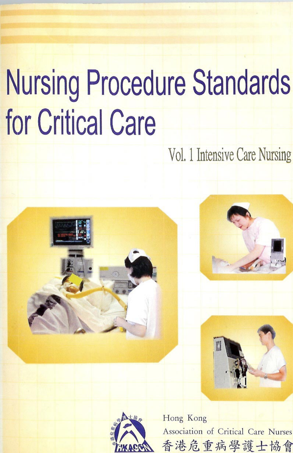# **Nursing Procedure Standards for Critical Care**

Vol. 1 Intensive Care Nursing





Hong Kong Association of Critical Care Nurses 香港危重病學護士協會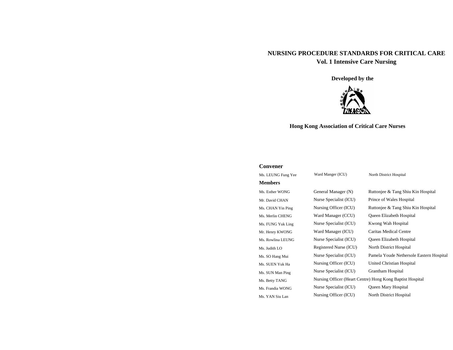# **NURSING PROCEDURE STANDARDS FOR CRITICAL CARE Vol. 1 Intensive Care Nursing**

**Developed by the** 



# **Hong Kong Association of Critical Care Nurses**

#### **Convener**

| Ms. LEUNG Fung Yee | Ward Manger (ICU)      | North District Hospital                                   |
|--------------------|------------------------|-----------------------------------------------------------|
| <b>Members</b>     |                        |                                                           |
| Ms. Esther WONG    | General Manager (N)    | Ruttonjee & Tang Shiu Kin Hospital                        |
| Mr. David CHAN     | Nurse Specialist (ICU) | Prince of Wales Hospital                                  |
| Ms. CHAN Yin Ping  | Nursing Officer (ICU)  | Ruttonjee & Tang Shiu Kin Hospital                        |
| Ms. Merlin CHENG   | Ward Manager (CCU)     | Queen Elizabeth Hospital                                  |
| Ms. FUNG Yuk Ling  | Nurse Specialist (ICU) | Kwong Wah Hospital                                        |
| Mr. Henry KWONG    | Ward Manager (ICU)     | <b>Caritas Medical Centre</b>                             |
| Ms. Rowlina LEUNG  | Nurse Specialist (ICU) | Queen Elizabeth Hospital                                  |
| Ms. Judith LO      | Registered Nurse (ICU) | North District Hospital                                   |
| Ms. SO Hang Mui    | Nurse Specialist (ICU) | Pamela Youde Nethersole Eastern Hospital                  |
| Ms. SUEN Yuk Ha    | Nursing Officer (ICU)  | United Christian Hospital                                 |
| Ms. SUN Man Ping   | Nurse Specialist (ICU) | <b>Grantham Hospital</b>                                  |
| Ms. Betty TANG     |                        | Nursing Officer (Heart Centre) Hong Kong Baptist Hospital |
| Ms. Frandia WONG   | Nurse Specialist (ICU) | Queen Mary Hospital                                       |
| Ms. YAN Siu Lan    | Nursing Officer (ICU)  | North District Hospital                                   |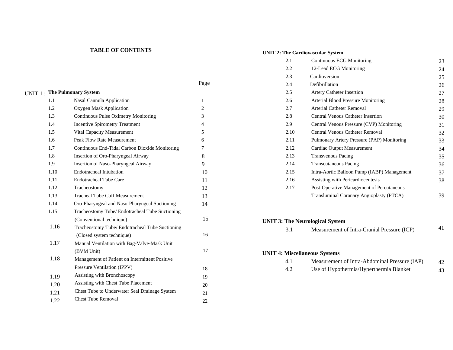# **TABLE OF CONTENTS**

# **UNIT 2: The Cardiovascular System**

|                                     |                                                                                                                                           | Page           |  |  |
|-------------------------------------|-------------------------------------------------------------------------------------------------------------------------------------------|----------------|--|--|
| <b>UNIT 1: The Pulmonary System</b> |                                                                                                                                           |                |  |  |
| 1.1                                 | Nasal Cannula Application                                                                                                                 | 1              |  |  |
| 1.2.                                | Oxygen Mask Application                                                                                                                   | $\overline{2}$ |  |  |
| 1.3                                 | Continuous Pulse Oximetry Monitoring<br><b>Incentive Spirometry Treatment</b><br>Vital Capacity Measurement<br>Peak Flow Rate Measurement |                |  |  |
| 1.4                                 |                                                                                                                                           |                |  |  |
| 1.5                                 |                                                                                                                                           |                |  |  |
| 1.6                                 |                                                                                                                                           |                |  |  |
| 1.7                                 | Continuous End-Tidal Carbon Dioxide Monitoring                                                                                            | 7              |  |  |
| 1.8                                 | Insertion of Oro-Pharyngeal Airway                                                                                                        | 8              |  |  |
| 1.9                                 | Insertion of Naso-Pharyngeal Airway                                                                                                       | 9              |  |  |
| 1.10                                | <b>Endotracheal Intubation</b>                                                                                                            | 10             |  |  |
| 1.11                                | Endotracheal Tube Care                                                                                                                    | 11             |  |  |
| 1.12                                | Tracheostomy                                                                                                                              | 12             |  |  |
| 1.13                                | <b>Tracheal Tube Cuff Measurement</b>                                                                                                     | 13             |  |  |
| 1.14                                | Oro-Pharyngeal and Naso-Pharyngeal Suctioning                                                                                             | 14             |  |  |
| 1.15                                | Tracheostomy Tube/ Endotracheal Tube Suctioning                                                                                           |                |  |  |
|                                     | (Conventional technique)                                                                                                                  | 15             |  |  |
| 1.16                                | Tracheostomy Tube/ Endotracheal Tube Suctioning                                                                                           |                |  |  |
|                                     | (Closed system technique)                                                                                                                 | 16             |  |  |
| 1.17                                | Manual Ventilation with Bag-Valve-Mask Unit                                                                                               |                |  |  |
|                                     | (BVM Unit)                                                                                                                                | 17             |  |  |
| 1.18                                | Management of Patient on Intermittent Positive                                                                                            |                |  |  |
|                                     | Pressure Ventilation (IPPV)                                                                                                               | 18             |  |  |
| 1.19                                | Assisting with Bronchoscopy                                                                                                               | 19             |  |  |
| 1.20                                | Assisting with Chest Tube Placement                                                                                                       | 20             |  |  |
| 1.21                                | Chest Tube to Underwater Seal Drainage System                                                                                             | 21             |  |  |
| 1.22                                | <b>Chest Tube Removal</b>                                                                                                                 | 22             |  |  |
|                                     |                                                                                                                                           |                |  |  |

| 2.1  | Continuous ECG Monitoring                   | 23 |
|------|---------------------------------------------|----|
| 2.2  | 12-Lead ECG Monitoring                      | 24 |
| 2.3  | Cardioversion                               | 25 |
| 2.4  | Defibrillation                              | 26 |
| 2.5  | <b>Artery Catheter Insertion</b>            | 27 |
| 2.6  | Arterial Blood Pressure Monitoring          | 28 |
| 2.7  | <b>Arterial Catheter Removal</b>            | 29 |
| 2.8  | <b>Central Venous Catheter Insertion</b>    | 30 |
| 2.9  | Central Venous Pressure (CVP) Monitoring    | 31 |
| 2.10 | <b>Central Venous Catheter Removal</b>      | 32 |
| 2.11 | Pulmonary Artery Pressure (PAP) Monitoring  | 33 |
| 2.12 | Cardiac Output Measurement                  | 34 |
| 2.13 | <b>Transvenous Pacing</b>                   | 35 |
| 2.14 | <b>Transcutaneous Pacing</b>                | 36 |
| 2.15 | Intra-Aortic Balloon Pump (IABP) Management | 37 |
| 2.16 | Assisting with Pericardiocentesis           | 38 |
| 2.17 | Post-Operative Management of Percutaneous   |    |
|      | Transluminal Coranary Angioplasty (PTCA)    | 39 |
|      |                                             |    |

#### **UNIT 3: The Neurological System**

3.1 Measurement of Intra-Cranial Pressure (ICP) <sup>41</sup>

# **UNIT 4: Miscellaneous Systems**

|  | Measurement of Intra-Abdominal Pressure (IAP) |  |
|--|-----------------------------------------------|--|
|  | Use of Hypothermia/Hyperthermia Blanket       |  |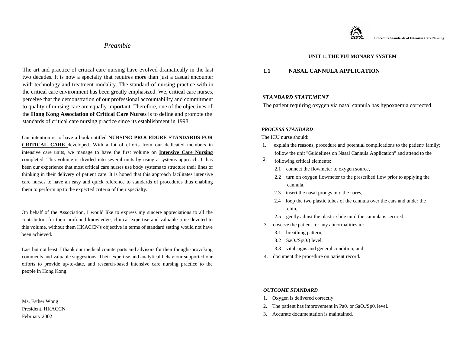# *Preamble*

The art and practice of critical care nursing have evolved dramatically in the last two decades. It is now a specialty that requires more than just a casual encounter with technology and treatment modality. The standard of nursing practice with in the critical care environment has been greatly emphasized. We, critical care nurses, perceive that the demonstration of our professional accountability and commitment to quality of nursing care are equally important. Therefore, one of the objectives of the **Hong Kong Association of Critical Care Nurses** is to define and promote the standards of critical care nursing practice since its establishment in 1998.

Our intention is to have a book entitled **NURSING PROCEDURE STANDARDS FOR CRITICAL CARE** developed. With a lot of efforts from our dedicated members in intensive care units, we manage to have the first volume on **Intensive Care Nursing** completed. This volume is divided into several units by using a systems approach. It has been our experience that most critical care nurses use body systems to structure their lines of thinking in their delivery of patient care. It is hoped that this approach facilitates intensive care nurses to have an easy and quick reference to standards of procedures thus enabling them to perform up to the expected criteria of their specialty.

On behalf of the Association, I would like to express my sincere appreciations to all the contributors for their profound knowledge, clinical expertise and valuable time devoted to this volume, without them HKACCN's objective in terms of standard setting would not have been achieved.

Last but not least, I thank our medical counterparts and advisors for their thought-provoking comments and valuable suggestions. Their expertise and analytical behaviour supported our efforts to provide up-to-date, and research-based intensive care nursing practice to the people in Hong Kong.

Ms. Esther Wong President, HKACCN February 2002



# **UNIT 1: THE PULMONARY SYSTEM**

# **1.1 NASAL CANNULA APPLICATION**

#### *STANDARD STATEMENT*

The patient requiring oxygen via nasal cannula has hypoxaemia corrected.

#### *PROCESS STANDARD*

The ICU nurse should:

- 1. explain the reasons, procedure and potential complications to the patient/ family; follow the unit "Guidelines on Nasal Cannula Application" and attend to the
- following critical elements: 2.
	- 2.1 connect the flowmeter to oxygen source,
	- 2.2 turn on oxygen flowmeter to the prescribed flow prior to applying the cannula,
	- 2.3 insert the nasal prongs into the nares,
	- 2.4 loop the two plastic tubes of the cannula over the ears and under the chin,
	- 2.5 gently adjust the plastic slide until the cannula is secured;
- 3. observe the patient for any abnormalities in:
	- 3.1 breathing pattern,
	- $3.2$  SaO2/SpO2) level,
	- 3.3 vital signs and general condition; and
- 4. document the procedure on patient record.

- 1. Oxygen is delivered correctly.
- 2. The patient has improvement in Pa $0_2$  or Sa $O_2$ /Sp $0_2$  level.
- 3. Accurate documentation is maintained.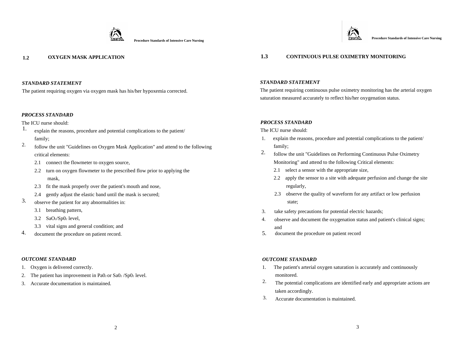



The patient requiring oxygen via oxygen mask has his/her hypoxemia corrected.

#### *PROCESS STANDARD*

The ICU nurse should:

- 1. explain the reasons, procedure and potential complications to the patient/ family;
- follow the unit "Guidelines on Oxygen Mask Application" and attend to the following critical elements: 2.
	- 2.1 connect the flowmeter to oxygen source,
	- 2.2 turn on oxygen flowmeter to the prescribed flow prior to applying the mask,
	- 2.3 fit the mask properly over the patient's mouth and nose,
	- 2.4 gently adjust the elastic band until the mask is secured;
- observe the patient for any abnormalities in: 3.
	- 3.1 breathing pattern,
	- $3.2$  SaO<sub>2</sub>/Sp0<sub>2</sub> level,
	- 3.3 vital signs and general condition; and
- document the procedure on patient record. 4.

#### *OUTCOME STANDARD*

- 1. Oxygen is delivered correctly.
- 2. The patient has improvement in Pa0 $2$  or Sa0 $2/Sp02$  level.
- 3. Accurate documentation is maintained.

# **1.2 OXYGEN MASK APPLICATION 1.3 CONTINUOUS PULSE OXIMETRY MONITORING**

#### *STANDARD STATEMENT*

The patient requiring continuous pulse oximetry monitoring has the arterial oxygen saturation measured accurately to reflect his/her oxygenation status.

#### *PROCESS STANDARD*

The ICU nurse should:

- 1. explain the reasons, procedure and potential complications to the patient/ family;
- follow the unit "Guidelines on Performing Continuous Pulse Oximetry Monitoring" and attend to the following Critical elements: 2.
	- 2.1 select a sensor with the appropriate size,
	- 2.2 apply the sensor to a site with adequate perfusion and change the site regularly,
	- 2.3 observe the quality of waveform for any artifact or low perfusion state;
- 3. take safety precautions for potential electric hazards;
- 4. observe and document the oxygenation status and patient's clinical signs; and
- 5.document the procedure on patient record

- 1. The patient's arterial oxygen saturation is accurately and continuously monitored.
- The potential complications are identified early and appropriate actions are taken accordingly. 2.
- Accurate documentation is maintained. 3.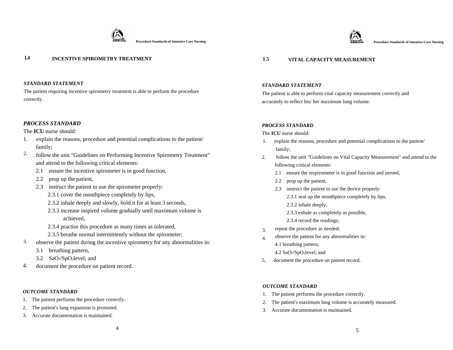

Procedure Standards of Intensive Care Nursing **Procedure Standards of Intensive Care Nursing and Alternative Care Nursing and Alternative Care Nursing <b>Procedure Standards of Intensive Care Nursing** 

# **l.4 INCENTIVE SPIROMETRY TREATMENT**

#### *STANDARD STATEMENT*

The patient requiring incentive spirometry treatment is able to perform the procedure correctly.

## *PROCESS STANDARD*

#### The **ICU** nurse should:

- 1. explain the reasons, procedure and potential complications to the patient/ family;
- follow the unit "Guidelines on Performing Incentive Spirometry Treatment" and attend to the following critical elements: 2.
	- 2.1 ensure the incentive spirometer is in good function,
	- 2.2 prop up the patient,
	- 2.3 instruct the patient to use the spirometer properly:
		- 2.3.1 cover the mouthpiece completely by lips,
		- 2.3.2 inhale deeply and slowly, hold it for at least 3 seconds,
		- 2.3.3 increase inspired volume gradually until maximum volume is achieved,
		- 2.3.4 practise this procedure as many times as tolerated,
		- 2.3.5 breathe normal intermittently without the spirometer;
- observe the patient during the incentive spirometry for any abnormalities in: 3.
	- 3.1 breathing pattern,
	- 3.2 SaO2/SpO2Ievel; and
- 4. document the procedure on patient record.

#### *OUTCOME STANDARD*

- 1. The patient performs the procedure correctly.
- 2. The patient's lung expansion is promoted.
- 3. Accurate documentation is maintained.

# **1.5 VITAL CAPACITY MEASUREMENT**

#### *STANDARD STATEMENT*

The patient is able to perform vital capacity measurement correctly and accurately to reflect his/ her maximum lung volume.

#### *PROCESS STANDARD*

The **ICU** nurse should:

- 1. explain the reasons, procedure and potential complications to the patient/ family;
- 2. follow the unit "Guidelines on Vital Capacity Measurement" and attend to the following critical elements:
	- 2.1 ensure the respirometer is in good function and zeroed,
	- 2.2 prop up the patient,
	- 2.3 instruct the patient to use the device properly:
		- 2.3.1 seal up the mouthpiece completely by lips,
		- 2.3.2 inhale deeply,
		- 2.3.3 exhale as completely as possible,
		- 2.3.4 record the readings;
- repeat the procedure as needed; 3.
- observe the patient for any abnormalities in: 4.1 breathing pattern, 4.
	- 4.2 SaO2/SpO2Ievel; and
- 5.document the procedure on patient record.

- 1. The patient performs the procedure correctly.
- 2. The patient's maximum lung volume is accurately measured.
- 3. Accurate documentation is maintained.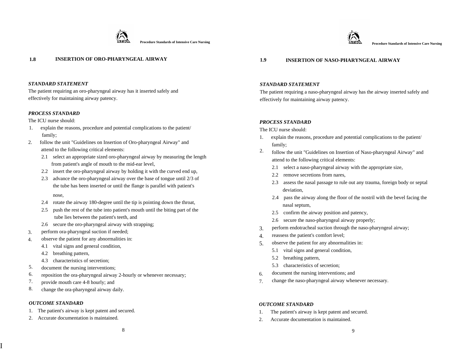



## **1.8 INSERTION OF ORO-PHARYNGEAL AIRWAY 1.9 INSERTION OF NASO-PHARYNGEAL AIRWAY**

#### *STANDARD STATEMENT*

The patient requiring an oro-pharyngeal airway has it inserted safely and effectively for maintaining airway patency.

#### *PROCESS STANDARD*

The ICU nurse should:

- 1. explain the reasons, procedure and potential complications to the patient/ family;
- 2. follow the unit "Guidelines on Insertion of Oro-pharyngeal Airway" and attend to the following critical elements:
	- 2.1 select an appropriate sized oro-pharyngeal airway by measuring the length from patient's angle of mouth to the mid-ear level,
	- 2.2 insert the oro-pharyngeal airway by holding it with the curved end up,
	- 2.3 advance the oro-pharyngeal airway over the base of tongue until 2/3 of the tube has been inserted or until the flange is parallel with patient's nose,
	- 2.4 rotate the airway 180-degree until the tip is pointing down the throat,
	- 2.5 push the rest of the tube into patient's mouth until the biting part of the tube lies between the patient's teeth, and
	- 2.6 secure the oro-pharyngeal airway with strapping;
- perform ora-pharyngeal suction if needed; 3.
- observe the patient for any abnormalities in: 4.
	- 4.1 vital signs and general condition,
	- 4.2 breathing pattern,
	- 4.3 characteristics of secretion;
- document the nursing interventions; 5.
- reposition the ora-pharyngeal airway 2-hourly or whenever necessary; 6.
- provide mouth care 4-8 hourly; and 7.
- change the ora-pharyngeal airway daily. 8.

#### *OUTCOME STANDARD*

I

- 1. The patient's airway is kept patent and secured.
- 2. Accurate documentation is maintained.

#### *STANDARD STATEMENT*

The patient requiring a naso-pharyngeal airway has the airway inserted safely and effectively for maintaining airway patency.

# *PROCESS STANDARD*

The ICU nurse should:

- 1. explain the reasons, procedure and potential complications to the patient/ family;
- follow the unit "Guidelines on Insertion of Naso-pharyngeal Airway" and attend to the following critical elements: 2.
	- 2.1 select a naso-pharyngeal airway with the appropriate size,
	- 2.2 remove secretions from nares.
	- 2.3 assess the nasal passage to rule out any trauma, foreign body or septal deviation,
	- 2.4 pass the airway along the floor of the nostril with the bevel facing the nasal septum,
	- 2.5 confirm the airway position and patency,
	- 2.6 secure the naso-pharyngeal airway properly;
- perform endotracheal suction through the naso-pharyngeal airway; 3.
- reassess the patient's comfort level; 4.
- observe the patient for any abnormalities in: 5.
	- 5.1 vital signs and general condition,
	- 5.2 breathing pattern,
	- 5.3 characteristics of secretion;
- document the nursing interventions; and 6.
- change the naso-pharyngeal airway whenever necessary. 7.

- 1. The patient's airway is kept patent and secured.
- 2. Accurate documentation is maintained.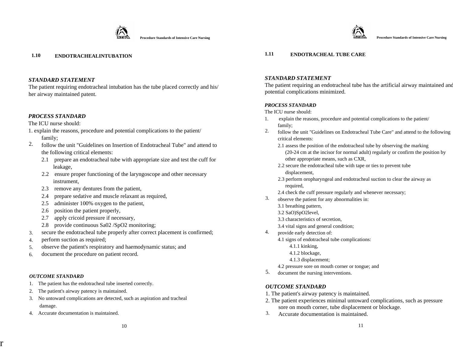

The patient requiring endotracheal intubation has the tube placed correctly and his/ her airway maintained patent.

# *PROCESS STANDARD*

## The ICU nurse should:

- 1. explain the reasons, procedure and potential complications to the patient/ family;
- follow the unit "Guidelines on Insertion of Endotracheal Tube" and attend to the following critical elements: 2.
	- 2.1 prepare an endotracheal tube with appropriate size and test the cuff for leakage,
	- 2.2 ensure proper functioning of the laryngoscope and other necessary instrument,
	- 2.3 remove any dentures from the patient,
	- 2.4 prepare sedative and muscle relaxant as required,
	- 2.5 administer 100% oxygen to the patient,
	- 2.6 position the patient properly,
	- 2.7 apply cricoid pressure if necessary,
	- 2.8 provide continuous Sa02 /SpO2 monitoring;
- secure the endotracheal tube properly after correct placement is confirmed; 3.
- perform suction as required; 4.
- observe the patient's respiratory and haemodynamic status; and 5.
- document the procedure on patient record. 6.

#### *OUTCOME STANDARD*

r

- 1. The patient has the endotracheal tube inserted correctly.
- 2. The patient's airway patency is maintained.
- 3. No untoward complications are detected, such as aspiration and tracheal damage.
- 4. Accurate documentation is maintained.

# **1.10 ENDOTRACHEALINTUBATION 1.11 ENDOTRACHEAL TUBE CARE**

# *STANDARD STATEMENT*

The patient requiring an endotracheal tube has the artificial airway maintained and potential complications minimized.

## *PROCESS STANDARD*

The ICU nurse should:

- 1. explain the reasons, procedure and potential complications to the patient/ family;
- follow the unit "Guidelines on Endotracheal Tube Care" and attend to the following critical elements: 2.
	- 2.1 assess the position of the endotracheal tube by observing the marking (20-24 cm at the incisor for normal adult) regularly or confirm the position by other appropriate means, such as CXR,
	- 2.2 secure the endotracheal tube with tape or ties to prevent tube displacement,
	- 2.3 perform oropharyngeal and endotracheal suction to clear the airway as required,
	- 2.4 check the cuff pressure regularly and whenever necessary;
- observe the patient for any abnormalities in: 3.
	- 3.1 breathing pattern,
	- 3.2 SaO)SpO2level,
	- 3.3 characteristics of secretion,
	- 3.4 vital signs and general condition;
- provide early detection of: 4.
	- 4.1 signs of endotracheal tube complications:
		- 4.1.1 kinking,
		- 4.1.2 blockage,
- 4.1.3 displacement;
	- 4.2 pressure sore on mouth corner or tongue; and
- 5. document the nursing interventions.

- 1. The patient's airway patency is maintained.
- 2. The patient experiences minimal untoward complications, such as pressure sore on mouth corner, tube displacement or blockage.
- 3. Accurate documentation is maintained.

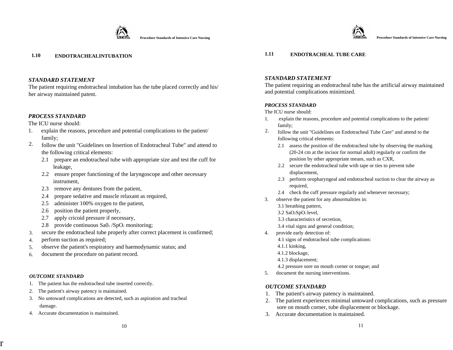

# **1.10 ENDOTRACHEALINTUBATION 1.11 ENDOTRACHEAL TUBE CARE**

# *STANDARD STATEMENT*

The patient requiring endotracheal intubation has the tube placed correctly and his/ her airway maintained patent.

# *PROCESS STANDARD*

The ICU nurse should:

- 1. explain the reasons, procedure and potential complications to the patient/ family;
- follow the unit "Guidelines on Insertion of Endotracheal Tube" and attend to the following critical elements: 2.
	- 2.1 prepare an endotracheal tube with appropriate size and test the cuff for leakage,
	- 2.2 ensure proper functioning of the laryngoscope and other necessary instrument,
	- 2.3 remove any dentures from the patient,
	- 2.4 prepare sedative and muscle relaxant as required,
	- 2.5 administer 100% oxygen to the patient,
	- 2.6 position the patient properly,
	- 2.7 apply cricoid pressure if necessary,
	- 2.8 provide continuous  $\text{SaO}_2/\text{SpO}_2$  monitoring;
- secure the endotracheal tube properly after correct placement is confirmed; 3.
- perform suction as required; 4.
- observe the patient's respiratory and haemodynamic status; and 5.
- document the procedure on patient record. 6.

# *OUTCOME STANDARD*

r

- 1. The patient has the endotracheal tube inserted correctly.
- 2. The patient's airway patency is maintained.
- 3. No untoward complications are detected, such as aspiration and tracheal damage.
- 4. Accurate documentation is maintained.

# *STANDARD STATEMENT*

The patient requiring an endotracheal tube has the artificial airway maintained and potential complications minimized.

# *PROCESS STANDARD*

The ICU nurse should:

- 1. explain the reasons, procedure and potential complications to the patient/ family;
- follow the unit "Guidelines on Endotracheal Tube Care" and attend to the following critical elements: 2.
	- 2.1 assess the position of the endotracheal tube by observing the marking (20-24 cm at the incisor for normal adult) regularly or confirm the position by other appropriate means, such as CXR,
	- 2.2 secure the endotracheal tube with tape or ties to prevent tube displacement,
	- 2.3 perform oropharyngeal and endotracheal suction to clear the airway as required,
	- 2.4 check the cuff pressure regularly and whenever necessary;
- 3. observe the patient for any abnormalities in:
	- 3.1 breathing pattern,
	- 3.2 SaO2SpO2 level,
	- 3.3 characteristics of secretion,
	- 3.4 vital signs and general condition;
- 4. provide early detection of:
	- 4.1 signs of endotracheal tube complications:
	- 4.1.1 kinking,
	- 4.1.2 blockage,
	- 4.1.3 displacement;
	- 4.2 pressure sore on mouth corner or tongue; and
- 5. document the nursing interventions.

- 1.The patient's airway patency is maintained.
- 2. The patient experiences minimal untoward complications, such as pressure sore on mouth corner, tube displacement or blockage.
- 3. Accurate documentation is maintained.

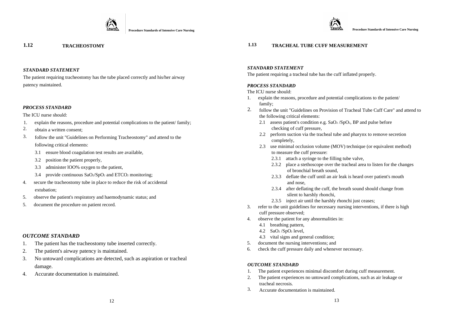

The patient requiring tracheostomy has the tube placed correctly and his/her airway patency maintained. *PROCESS STANDARD* 

#### *PROCESS STANDARD*

#### The ICU nurse should:

- 1. explain the reasons, procedure and potential complications to the patient/ family;
- 2. obtain a written consent;
- 3. follow the unit "Guidelines on Performing Tracheostomy" and attend to the following critical elements:
	- 3.1 ensure blood coagulation test results are available,
	- 3.2 position the patient properly,
	- 3.3 administer lOO% oxygen to the patient,
	- 3.4 provide continuous  $SaO_2/SpO_2$  and  $ETCO_2$  monitoring;
- 4. secure the tracheostomy tube in place to reduce the risk of accidental extubation;
- 5. observe the patient's respiratory and haemodynamic status; and
- 5. document the procedure on patient record.

#### *OUTCOME STANDARD*

- 1.The patient has the tracheostomy tube inserted correctly.
- 2.The patient's airway patency is maintained.
- 3. No untoward complications are detected, such as aspiration or tracheal damage.
- 4. Accurate documentation is maintained.

# **1.12 TRACHEOSTOMY 1.13 TRACHEAL TUBE CUFF MEASUREMENT**

#### *STANDARD STATEMENT*

The patient requiring a tracheal tube has the cuff inflated properly.

#### The ICU nurse should:

- 1. explain the reasons, procedure and potential complications to the patient/ family;
- follow the unit "Guidelines on Provision of Tracheal Tube Cuff Care" and attend to the following critical elements: 2.
	- 2.1 assess patient's condition e.g.  $SaO<sub>2</sub>/SpO<sub>2</sub>$ , BP and pulse before checking of cuff pressure,
	- 2.2 perform suction via the tracheal tube and pharynx to remove secretion completely,
	- 2.3 use minimal occlusion volume (MOV) technique (or equivalent method) to measure the cuff pressure:
		- 2.3.1 attach a syringe to the filling tube valve,
		- 2.3.2 place a stethoscope over the tracheal area to listen for the changes of bronchial breath sound,
		- 2.3.3 deflate the cuff until an air leak is heard over patient's mouth and nose,
		- 2.3.4 after deflating the cuff, the breath sound should change from silent to harshly rhonchi,
		- 2.3.5 inject air until the harshly rhonchi just ceases;
- 3. refer to the unit guidelines for necessary nursing interventions, if there is high cuff pressure observed;
- 4. observe the patient for any abnormalities in:
	- 4.1 breathing pattern,
	- 4.2 SaO2 /SpO2 level,
	- 4.3 vital signs and general condition;
- 5. document the nursing interventions; and
- 6. check the cuff pressure daily and whenever necessary.

- 1. The patient experiences minimal discomfort during cuff measurement.
- 2. The patient experiences no untoward complications, such as air leakage or tracheal necrosis.
- 3. Accurate documentation is maintained.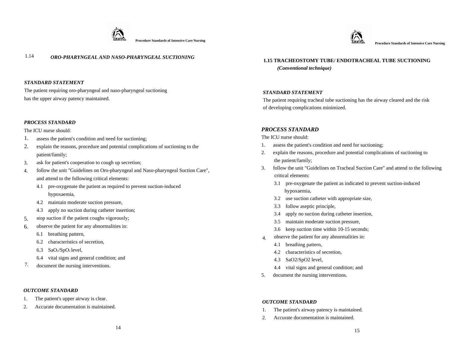



# 1.14 *ORO-PHARYNGEAL AND NASO-PHARYNGEAL SUCTIONING* **1.15 TRACHEOSTOMY TUBE/ ENDOTRACHEAL TUBE SUCTIONING**

#### *STANDARD STATEMENT*

The patient requiring oro-pharyngeal and naso-pharyngeal suctioning has the upper airway patency maintained.

#### *PROCESS STANDARD*

- 1. assess the patient's condition and need for suctioning;
- 2. explain the reasons, procedure and potential complications of suctioning to the patient/family;
- ask for patient's cooperation to cough up secretion; 3.
- follow the unit "Guidelines on Oro-pharyngeal and Naso-pharyngeal Suction Care", and attend to the following critical elements: 4.
	- 4.1 pre-oxygenate the patient as required to prevent suction-induced hypoxaemia,
	- 4.2 maintain moderate suction pressure,
	- 4.3 apply no suction during catheter insertion;
- stop suction if the patient coughs vigorously; 5.
- observe the patient for any abnormalities in: 6.
	- 6.1 breathing pattern,
	- 6.2 characteristics of secretion,
	- 6.3 SaO2/SpO2 level,
	- 6.4 vital signs and general condition; and
- document the nursing interventions. 7.

#### *OUTCOME STANDARD*

- 1. The patient's upper airway is clear.
- 2. Accurate documentation is maintained.

 *(Conventional technique)* 

## *STANDARD STATEMENT*

The patient requiring tracheal tube suctioning has the airway cleared and the risk of developing complications minimized.

# The ICU nurse should: *PROCESS STANDARD*

The ICU nurse should:

- 1. assess the patient's condition and need for suctioning;
- 2. explain the reasons, procedure and potential complications of suctioning to the patient/family;
- 3. follow the unit "Guidelines on Tracheal Suction Care" and attend to the following critical elements:
	- 3.1 pre-oxygenate the patient as indicated to prevent suction-induced hypoxaemia,
	- 3.2 use suction catheter with appropriate size,
	- 3.3 follow aseptic principle,
	- 3.4 apply no suction during catheter insertion,
	- 3.5 maintain moderate suction pressure,
	- 3.6 keep suction time within 10-15 seconds;
- observe the patient for any abnormalities in: 4.
	- 4.1 breathing pattern,
	- 4.2 characteristics of secretion,
	- 4.3 SaO2/SpO2 level,
	- 4.4 vital signs and general condition; and
- 5. document the nursing interventions.

- 1. The patient's airway patency is maintained.
- 2. Accurate documentation is maintained.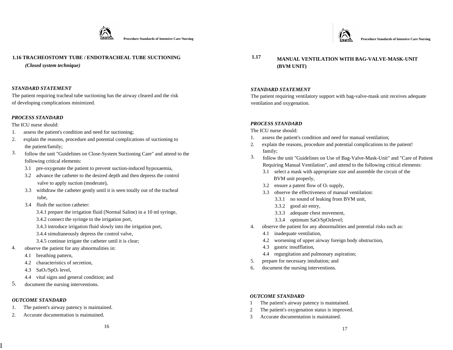

# **1.16 TRACHEOSTOMY TUBE / ENDOTRACHEAL TUBE SUCTIONING**

*(Closed system technique)*

# *STANDARD STATEMENT*

The patient requiring tracheal tube suctioning has the airway cleared and the risk of developing complications minimized.

# *PROCESS STANDARD*

The ICU nurse should:

- 1. assess the patient's condition and need for suctioning;
- 2. explain the reasons, procedure and potential complications of suctioning to the patient/family;
- follow the unit "Guidelines on Close-System Suctioning Care" and attend to the following critical elements: 3.
	- 3.1 pre-oxygenate the patient to prevent suction-induced hypoxaemia,
	- 3.2 advance the catheter to the desired depth and then depress the control valve to apply suction (moderate),
	- 3.3 withdraw the catheter gently until it is seen totally out of the tracheal tube,
	- 3.4 flush the suction catheter:
		- 3.4.1 prepare the irrigation fluid (Normal Saline) in a 10 ml syringe,
		- 3.4.2 connect the syringe to the irrigation port,
		- 3.4.3 introduce irrigation fluid slowly into the irrigation port,
		- 3.4.4 simultaneously depress the control valve,
		- 3.4.5 continue irrigate the catheter until it is clear;
- observe the patient for any abnormalities in: 4.
	- 4.1 breathing pattern,
	- 4.2 characteristics of secretion,
	- 4.3 SaO2/SpO2 level,
	- 4.4 vital signs and general condition; and
- 5. document the nursing interventions.

# *OUTCOME STANDARD*

I

- 1. The patient's airway patency is maintained.
- 2. Accurate documentation is maintained.

 **1.17 MANUAL VENTILATION WITH BAG-VALVE-MASK-UNIT (BVM UNIT)** 

# *STANDARD STATEMENT*

The patient requiring ventilatory support with bag-valve-mask unit receives adequate ventilation and oxygenation.

# *PROCESS STANDARD*

The ICU nurse should:

- 1. assess the patient's condition and need for manual ventilation;
- 2. explain the reasons, procedure and potential complications to the patient! family;
- follow the unit "Guidelines on Use of Bag-Valve-Mask-Unit" and "Care of Patient Requiring Manual Ventilation", and attend to the following critical elements: 3.
	- 3.1 select a mask with appropriate size and assemble the circuit of the BVM unit properly,
	- 3.2 ensure a patent flow of  $O<sub>2</sub>$  supply,
	- 3.3 observe the effectiveness of manual ventilation:
		- 3.3.1 no sound of leaking from BVM unit,
		- 3.3.2 good air entry,
		- 3.3.3 adequate chest movement,
		- 3.3.4 optimum SaO/SpOzlevel;
- 4. observe the patient for any abnormalities and potential risks such as:
	- 4.1 inadequate ventilation,
	- 4.2 worsening of upper airway foreign body obstruction,
	- 4.3 gastric insufflation,
	- 4.4 regurgitation and pulmonary aspiration;
- 5. prepare for necessary intubation; and
- 6. document the nursing interventions.

- 1 The patient's airway patency is maintained.
- 2 The patient's oxygenation status is improved.
- 3 Accurate documentation is maintained.

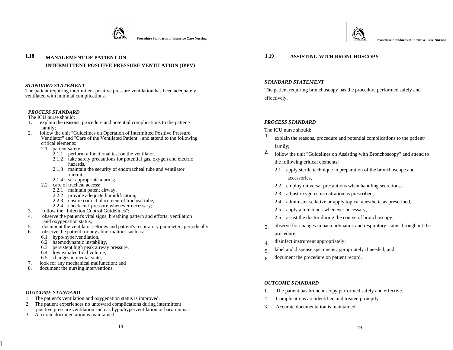



# **1.18 MANAGEMENT OF PATIENT ON 1.19 ASSISTING WITH BRONCHOSCOPY INTERMITTENT POSITIVE PRESSURE VENTILATION (IPPV)**

#### *STANDARD STATEMENT*

The patient requiring intermittent positive pressure ventilation has been adequately ventilated with minimal complications.

## *PROCESS STANDARD*

The ICU nurse should:

- 1. explain the reasons, procedure and potential complications to the patient/ family;
- 2. follow the unit "Guidelines on Operation of Intermitted Positive Pressure Ventilator" and "Care of the Ventilated Patient", and attend to the following critical elements:
	- 2.1 patient safety:
		- 2.1.1 perform a functional test on the ventilator,
		- 2.1.2 take safety precautions for potential gas, oxygen and electric hazards,
		- 2.1.3 maintain the security of endotracheal tube and ventilator circuit,
		- 2.1.4 set appropriate alarms;
	- 2.2 care of tracheal access:
		- 2.2.1 maintain patent airway,
		- 2.2.2 provide adequate humidification,
		- 2.2.3 ensure correct placement of tracheal tube,
		- 2.2.4 check cuff pressure whenever necessary;
- 3. follow the "Infection Control Guidelines";
- 4. observe the patient's vital signs, breathing pattern and efforts, ventilation and oxygenation status;
- 5. document the ventilator settings and patient's respiratory parameters periodically;
- observe the patient for any abnormalities such as:
	- 6.1 hypo/hyperventilation,
	- 6.2 haemodynamic instability,
	- 6.3 persistent high peak airway pressure,
	- 6.4 low exhaled tidal volume,
	- 6.5 changes in mental state;
- 7. look for any mechanical malfunction; and
- document the nursing interventions.

#### *OUTCOME STANDARD*

I

- 1. The patient's ventilation and oxygenation status is improved.
- 2. The patient experiences no untoward complications during intermittent
- positive pressure ventilation such as hypo/hyperventilation or barotrauma. 3. Accurate documentation is maintained.
	- $18$

## *STANDARD STATEMENT*

The patient requiring bronchoscopy has the procedure performed safely and effectively.

# *PROCESS STANDARD*

The ICU nurse should:

- 1. explain the reasons, procedure and potential complications to the patient/ family;
- follow the unit "Guidelines on Assisting with Bronchoscopy" and attend to the following critical elements: 2.
	- 2.1 apply sterile technique in preparation of the bronchoscope and accessories,
	- 2.2 employ universal precautions when handling secretions,
	- 2.3 adjust oxygen concentration as prescribed,
	- 2.4 administer sedative or apply topical anesthetic as prescribed,
	- 2.5 apply a bite block whenever necessary,
	- 2.6 assist the doctor during the course of bronchoscopy;
- observe for changes in haemodynamic and respiratory status throughout the procedure; 3.
- disinfect instrument appropriately; 4.
- label and dispense specimens appropriately if needed; and 5.
- document the procedure on patient record. 6.

- The patient has bronchoscopy performed safely and effective.
- 2. Complications are identified and treated promptly.
- 3. Accurate documentation is maintained.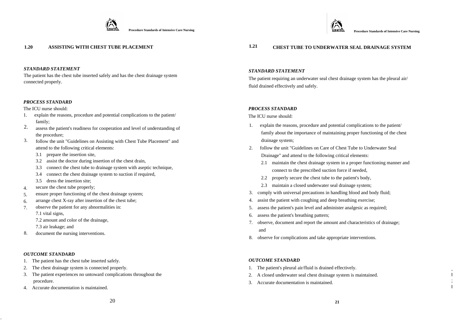

#### **1.20 ASSISTING WITH CHEST TUBE PLACEMENT**

#### *STANDARD STATEMENT*

The patient has the chest tube inserted safely and has the chest drainage system connected properly.

#### *PROCESS STANDARD*

The ICU nurse should:

- 1. explain the reasons, procedure and potential complications to the patient/ family;
- assess the patient's readiness for cooperation and level of understanding of the procedure; 2.
- follow the unit "Guidelines on Assisting with Chest Tube Placement" and attend to the following critical elements: 3.
	- 3.1 prepare the insertion site,
	- 3.2 assist the doctor during insertion of the chest drain,
	- 3.3 connect the chest tube to drainage system with aseptic technique,
	- 3.4 connect the chest drainage system to suction if required,
	- 3.5 dress the insertion site;
- secure the chest tube properly; 4.
- ensure proper functioning of the chest drainage system; 5.
- arrange chest X-ray after insertion of the chest tube; 6.
- observe the patient for any abnormalities in: 7.

7.1 vital signs,

7.2 amount and color of the drainage,

7.3 air leakage; and

8. document the nursing interventions.

#### *OUTCOME STANDARD*

..

- 1. The patient has the chest tube inserted safely.
- 2. The chest drainage system is connected properly.
- 3. The patient experiences no untoward complications throughout the procedure.
- 4. Accurate documentation is maintained.

# **1.21 CHEST TUBE TO UNDERWATER SEAL DRAINAGE SYSTEM**

#### *STANDARD STATEMENT*

The patient requiring an underwater seal chest drainage system has the pleural air/ fluid drained effectively and safely.

#### *PROCESS STANDARD*

The ICU nurse should:

- 1. explain the reasons, procedure and potential complications to the patient/ family about the importance of maintaining proper functioning of the chest drainage system;
- 2. follow the unit "Guidelines on Care of Chest Tube to Underwater Seal Drainage" and attend to the following critical elements:
	- 2.1 maintain the chest drainage system in a proper functioning manner and connect to the prescribed suction force if needed,
	- 2.2 properly secure the chest tube to the patient's body,
	- 2.3 maintain a closed underwater seal drainage system;
- 3. comply with universal precautions in handling blood and body fluid;
- 4. assist the patient with coughing and deep breathing exercise;
- 5. assess the patient's pain level and administer analgesic as required;
- 6. assess the patient's breathing pattern;
- 7. observe, document and report the amount and characteristics of drainage; and
- 8. observe for complications and take appropriate interventions.

#### *OUTCOME STANDARD*

- 1. The patient's pleural air/fluid is drained effectively.
- 2. A closed underwater seal chest drainage system is maintained.
- 3. Accurate documentation is maintained.

, I ; I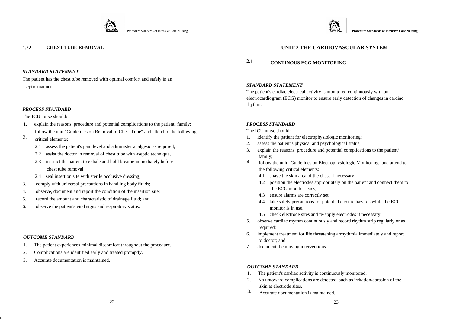

The patient has the chest tube removed with optimal comfort and safely in an aseptic manner. *STANDARD STATEMENT* 

#### *PROCESS STANDARD*

#### The **ICU** nurse should:

- 1. explain the reasons, procedure and potential complications to the patient! family; follow the unit "Guidelines on Removal of Chest Tube" and attend to the following
- critical elements: 2.
	- 2.1 assess the patient's pain level and administer analgesic as required,
	- 2.2 assist the doctor in removal of chest tube with aseptic technique,
	- 2.3 instruct the patient to exhale and hold breathe immediately before chest tube removal,
	- 2.4 seal insertion site with sterile occlusive dressing;
- 3. comply with universal precautions in handling body fluids;
- 4. observe, document and report the condition of the insertion site;
- 5. record the amount and characteristic of drainage fluid; and
- 6. observe the patient's vital signs and respiratory status.

#### *OUTCOME STANDARD*

Ir

- 1. The patient experiences minimal discomfort throughout the procedure.
- 2. Complications are identified early and treated promptly.
- 3. Accurate documentation is maintained.



# **1.22 CHEST TUBE REMOVAL UNIT 2 THE CARDIOVASCULAR SYSTEM**

# **2.1 CONTINOUS ECG MONITORING**

The patient's cardiac electrical activity is monitored continuously with an electrocardiogram (ECG) monitor to ensure early detection of changes in cardiac rhythm.

#### *PROCESS STANDARD*

The ICU nurse should:

- 1. identify the patient for electrophysiologic monitoring;
- 2. assess the patient's physical and psychological status;
- 3. explain the reasons, procedure and potential complications to the patient/ family;
- follow the unit "Guidelines on Electrophysiologic Monitoring" and attend to the following critical elements: 4.
	- 4.1 shave the skin area of the chest if necessary,
	- 4.2 position the electrodes appropriately on the patient and connect them to the ECG monitor leads,
	- 4.3 ensure alarms are correctly set,
	- 4.4 take safety precautions for potential electric hazards while the ECG monitor is in use,
	- 4.5 check electrode sites and re-apply electrodes if necessary;
- 5. observe cardiac rhythm continuously and record rhythm strip regularly or as required;
- 6. implement treatment for life threatening arrhythmia immediately and report to doctor; and
- 7. document the nursing interventions.

- 1. The patient's cardiac activity is continuously monitored.
- 2. No untoward complications are detected, such as irritation/abrasion of the skin at electrode sites.
- 3. Accurate documentation is maintained.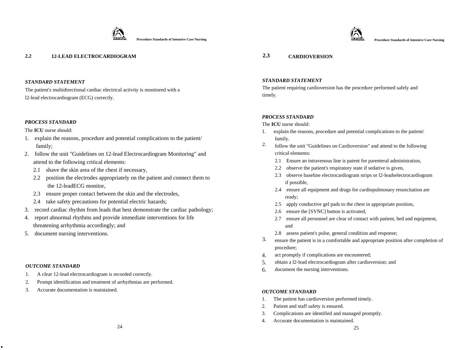

Procedure Standards of Intensive Care Nursing **Procedure Standards of Intensive Care Nursing and Alternative Care Nursing and Alternative Care Nursing <b>Procedure Standards of Intensive Care Nursing** 



#### *STANDARD STATEMENT*

The patient's multidirectional cardiac electrical activity is monitored with a l2-lead electrocardiogram (ECG) correctly.

#### *PROCESS STANDARD*

The **ICU** nurse should:

- 1. explain the reasons, procedure and potential complications to the patient/ family;
- 2. follow the unit "Guidelines on 12-lead Electrocardiogram Monitoring" and attend to the following critical elements:
	- 2.1 shave the skin area of the chest if necessary,
	- 2.2 position the electrodes appropriately on the patient and connect them to the 12-leadECG monitor,
	- 2.3 ensure proper contact between the skin and the electrodes,
	- 2.4 take safety precautions for potential electric hazards;
- 3. record cardiac rhythm from leads that best demonstrate the cardiac pathology;
- 4. report abnormal rhythms and provide immediate interventions for life threatening arrhythmia accordingly; and
- 5. document nursing interventions.

#### *OUTCOME STANDARD*

.

- 1. A clear 12-lead electrocardiogram is recorded correctly.
- 2. Prompt identification and treatment of arrhythmias are performed.
- 3. Accurate documentation

#### *STANDARD STATEMENT*

The patient requiring cardioversion has the procedure performed safely and timely.

#### *PROCESS STANDARD*

The **ICU** nurse should:

- 1. explain the reasons, procedure and potential complications to the patient/ family.
- follow the unit "Guidelines on Cardioversion" and attend to the following critical elements: 2.
	- 2.1 Ensure an intravenous line is patent for parenteral administration,
	- 2.2 observe the patient's respiratory state if sedative is given,
	- 2.3 observe baseline electrocardiogram strips or l2-leadselectrocardiogram if possible,
	- 2.4 ensure all equipment and drugs for cardiopulmonary resuscitation are ready;
	- 2.5 apply conductive gel pads to the chest in appropriate position,
	- 2.6 ensure the [SYNC] button is activated,
	- 2.7 ensure all personnel are clear of contact with patient, bed and equipment, and
	- 2.8 assess patient's pulse, general condition and response;
- ensure the patient is in a comfortable and appropriate position after completion of procedure; 3.
- act promptly if complications are encountered; 4.
- obtain a l2-lead electrocardiogram after cardioversion; and 5.
- document the nursing interventions. 6.

- 1. The patient has cardioversion performed timely.
- 2. Patient and staff safety is ensured.
- 3. Complications are identified and managed promptly.
- 4. Accurate documentation is maintained.



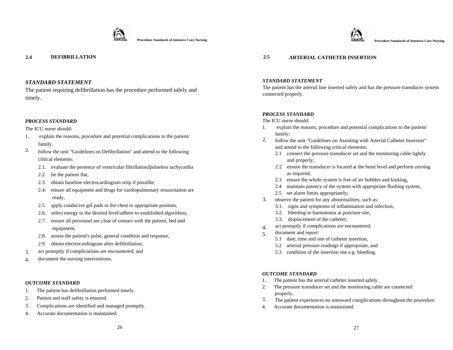

**Procedure Standards of Intensive Care Nursing** 



# *STANDARD STATEMENT*

The patient requiring defibrillation has the procedure performed safely and timely.

# *PROCESS STANDARD*

The ICU nurse should:

- 1. explain the reasons, procedure and potential complications to the patient/ family.
- follow the unit "Guidelines on Defibrillation" and attend to the following critical elements: 2.
	- 2.1. evaluate the presence of ventricular fibrillationJpulseless tachycardia
	- 2.2. lie the patient flat,
	- 2.3. obtain baseline electrocardiogram strip if possible,
	- 2.4. ensure all equipment and drugs for cardiopulmonary resuscitation are ready,
	- 2.5. apply conducive gel pads to the chest in appropriate position,
	- 2.6. select energy to the desired level/adhere to established algorithms,
	- 2.7. ensure all personnel are clear of contact with the patient, bed and equipment,
	- 2.8. assess the patient's pulse, general condition and response,
	- 2.9. obtain electrocardiogram after defibrillation;
- act promptly if complications are encountered; and 3.
- document the nursing interventions. 4.

#### *OUTCOME STANDARD*

- 1. The patient has defibrillation performed timely.
- 2. Patient and staff safety is ensured.
- 3. Complications are identified and managed promptly.
- 4. Accurate documentation is maintained.

# **2.4 DEFIBRILLATION 2.5 ARTERIAL CATHETER INSERTION**

#### *STANDARD STATEMENT*

The patient has the arterial line inserted safely and has the pressure transducer system connected properly.

#### *PROCESS STANDARD*

The ICU nurse should:

- 1. explain the reasons, procedure and potential complications to the patient/ family;
- follow the unit "Guidelines on Assisting with Arterial Catheter Insertion" and attend to the following critical elements: 2.
	- 2.1 connect the pressure transducer set and the monitoring cable tightly and properly;
	- 2.2 ensure the transducer is located at the heart level and perform zeroing as required,
	- 2.3 ensure the whole system is free of air bubbles and kinking,
	- 2.4 maintain patency of the system with appropriate flushing system,
	- 2.5 set alarm limits appropriately;
- observe the patient for any abnormalities, such as: 3.
	- 3.1. signs and symptoms of inflammation and infection,
	- 3.2. bleeding or haematoma at puncture site,
	- 3.3. displacement of the catheter;
- act promptly if complications are encountered; 4.
- document and report: 5.
	- 5.1 date, time and site of catheter insertion,
	- 5.2 arterial pressure readings if appropriate, and
	- 5.3 condition of the insertion site e.g. bleeding.

- 1. The patient has the arterial catheter inserted safely.
- 2. The pressure transducer set and the monitoring cable are connected properly.
- The patient experiences no untoward complications throughout the procedure. 3.
- 4. Accurate documentation is maintained.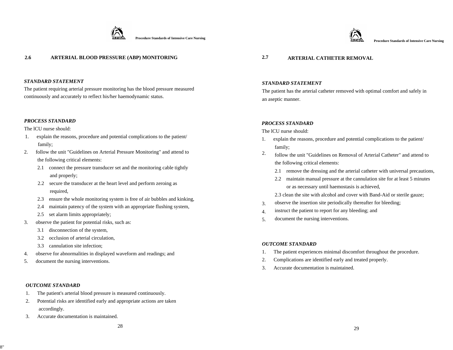

**2.6 ARTERIAL BLOOD PRESSURE (ABP) MONITORING 2.7 ARTERIAL CATHETER REMOVAL** 

# *STANDARD STATEMENT*

The patient requiring arterial pressure monitoring has the blood pressure measured continuously and accurately to reflect his/her haemodynamic status.

## *PROCESS STANDARD*

The lCU nurse should:

- 1. explain the reasons, procedure and potential complications to the patient/ family;
- 2. follow the unit "Guidelines on Arterial Pressure Monitoring" and attend to the following critical elements:
	- 2.1 connect the pressure transducer set and the monitoring cable tightly and properly;
	- 2.2 secure the transducer at the heart level and perform zeroing as required,
	- 2.3 ensure the whole monitoring system is free of air bubbles and kinking,
	- 2.4 maintain patency of the system with an appropriate flushing system,
	- 2.5 set alarm limits appropriately;
- 3. observe the patient for potential risks, such as:
	- 3.1 disconnection of the system,
	- 3.2 occlusion of arterial circulation,
	- 3.3 cannulation site infection;
- 4. observe for abnormalities in displayed waveform and readings; and
- 5. document the nursing interventions.

#### *OUTCOME STANDARD*

- 1. The patient's arterial blood pressure is measured continuously.
- 2. Potential risks are identified early and appropriate actions are taken accordingly.
- 3. Accurate documentation is maintained.

#### *STANDARD STATEMENT*

Procedure Standards of Intensive Care Nursing **Procedure Standards of Intensive Care Nursing Procedure Standards of Intensive Care Nursing <b>Procedure Standards of Intensive Care Nursing** 

The patient has the arterial catheter removed with optimal comfort and safely in an aseptic manner.

#### *PROCESS STANDARD*

The lCU nurse should:

- 1. explain the reasons, procedure and potential complications to the patient/ family;
- follow the unit "Guidelines on Removal of Arterial Catheter" and attend to the following critical elements: 2.
	- 2.1 remove the dressing and the arterial catheter with universal precautions,
	- 2.2 maintain manual pressure at the cannulation site for at least 5 minutes or as necessary until haemostasis is achieved,
	- 2.3 clean the site with alcohol and cover with Band-Aid or sterile gauze;
- observe the insertion site periodically thereafter for bleeding; 3.
- instruct the patient to report for any bleeding; and 4.
- document the nursing interventions. 5.

- 1. The patient experiences minimal discomfort throughout the procedure.
- 2. Complications are identified early and treated properly.
- 3. Accurate documentation is maintained.

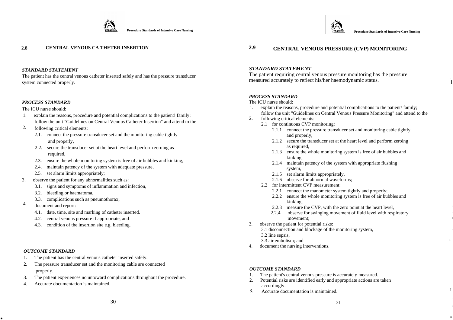



I

1

Ilil

#### *STANDARD STATEMENT*

The patient has the central venous catheter inserted safely and has the pressure transducer system connected properly.

#### *PROCESS STANDARD*

#### The ICU nurse should:

- 1. explain the reasons, procedure and potential complications to the patient! family; follow the unit "Guidelines on Central Venous Catheter Insertion" and attend to the
- following critical elements: 2.
	- 2.1. connect the pressure transducer set and the monitoring cable tightly and properly,
	- 2.2. secure the transducer set at the heart level and perform zeroing as required,
	- 2.3. ensure the whole monitoring system is free of air bubbles and kinking,
	- 2.4. maintain patency of the system with adequate pressure,
	- 2.5. set alarm limits appropriately;
- 3. observe the patient for any abnormalities such as:
	- 3.1. signs and symptoms of inflammation and infection,
	- 3.2. bleeding or haematoma,
	- 3.3. complications such as pneumothorax;
- 4. document and report:
	- 4.1. date, time, site and marking of catheter inserted,
	- 4.2. central venous pressure if appropriate, and
	- 4.3. condition of the insertion site e.g. bleeding.

#### *OUTCOME STANDARD*

.

- 1. The patient has the central venous catheter inserted safely.
- 2. The pressure transducer set and the monitoring cable are connected properly.
- 3. The patient experiences no untoward complications throughout the procedure.
- 4. Accurate documentation is maintained.

# **2.8 CENTRAL VENOUS CA THETER INSERTION 2.9 CENTRAL VENOUS PRESSURE (CVP) MONITORING**

#### *STANDARD STATEMENT*

The patient requiring central venous pressure monitoring has the pressure measured accurately to reflect his/her haemodynamic status.

#### *PROCESS STANDARD*

#### The ICU nurse should:

- 1. explain the reasons, procedure and potential complications to the patient/ family; follow the unit "Guidelines on Central Venous Pressure Monitoring" and attend to the
- following critical elements: 2.
	- 2.1 for continuous CVP monitoring:
		- 2.1.1 connect the pressure transducer set and monitoring cable tightly and properly,
		- 2.1.2 secure the transducer set at the heart level and perform zeroing as required,
		- 2.1.3 ensure the whole monitoring system is free of air bubbles and kinking,
		- 2.1.4 maintain patency of the system with appropriate flushing system,
		- 2.1.5 set alarm limits appropriately,
		- 2.1.6 observe for abnormal waveforms;
	- 2.2 for intermittent CVP measurement:
		- 2.2.1 connect the manometer system tightly and properly;
		- 2.2.2 ensure the whole monitoring system is free of air bubbles and kinking,
		- 2.2.3 measure the CVP, with the zero point at the heart level,
		- 2.2.4 observe for swinging movement of fluid level with respiratory movement;
- 3. observe the patient for potential risks:
	- 3.1 disconnection and blockage of the monitoring system,
	- 3.2 line sepsis,
	- 3.3 air embolism; and
- 4. document the nursing interventions.

- 1. The patient's central venous pressure is accurately measured.
- 2. Potential risks are identified early and appropriate actions are taken accordingly.  $\blacksquare$
- 3. Accurate documentation is maintained.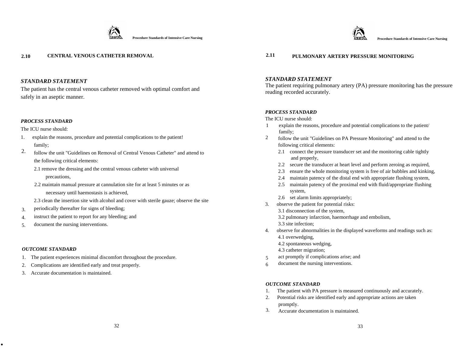

The patient has the central venous catheter removed with optimal comfort and safely in an aseptic manner.

#### *PROCESS STANDARD*

The ICU nurse should:

- 1. explain the reasons, procedure and potential complications to the patient! family;
- follow the unit "Guidelines on Removal of Central Venous Catheter" and attend to the following critical elements: 2.
	- 2.1 remove the dressing and the central venous catheter with universal precautions,
	- 2.2 maintain manual pressure at cannulation site for at least 5 minutes or as

necessary until haemostasis is achieved,

- 2.3 clean the insertion site with alcohol and cover with sterile gauze; observe the site
- periodically thereafter for signs of bleeding; 3.
- instruct the patient to report for any bleeding; and 4.
- document the nursing interventions. 5.

#### *OUTCOME STANDARD*

.

- 1. The patient experiences minimal discomfort throughout the procedure.
- 2. Complications are identified early and treat properly.
- 3. Accurate documentation is maintained.



# **2.10 CENTRAL VENOUS CATHETER REMOVAL 2.11 PULMONARY ARTERY PRESSURE MONITORING**

# *STANDARD STATEMENT*

The patient requiring pulmonary artery (PA) pressure monitoring has the pressure reading recorded accurately.

#### *PROCESS STANDARD*

The ICU nurse should:

- 1 explain the reasons, procedure and potential complications to the patient/ family;
- follow the unit "Guidelines on PA Pressure Monitoring" and attend to the following critical elements: 2
	- 2.1 connect the pressure transducer set and the monitoring cable tightly and properly,
	- 2.2 secure the transducer at heart level and perform zeroing as required,
	- 2.3 ensure the whole monitoring system is free of air bubbles and kinking,
	- 2.4 maintain patency of the distal end with appropriate flushing system,
	- 2.5 maintain patency of the proximal end with fluid/appropriate flushing system,
	- 2.6 set alarm limits appropriately;
- 3. observe the patient for potential risks:
	- 3.1 disconnection of the system,
	- 3.2 pulmonary infarction, haemorrhage and embolism,
	- 3.3 site infection;
- 4. observe for abnormalities in the displayed waveforms and readings such as: 4.1 overwedging,
	- 4.2 spontaneous wedging,
	- 4.3 catheter migration;
- act promptly if complications arise; and 5
- document the nursing interventions. 6

- 1. The patient with PA pressure is measured continuously and accurately.
- 2. Potential risks are identified early and appropriate actions are taken promptly.
- 3. Accurate documentation is maintained.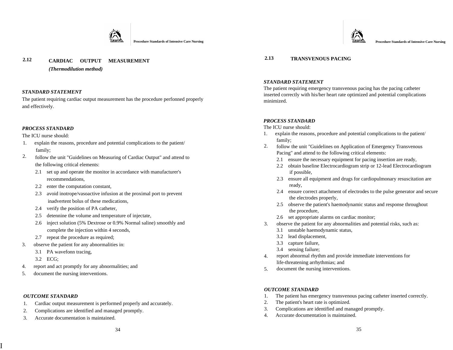

# **2.12 2.13 TRANSVENOUS PACING CARDIAC OUTPUT MEASUREMENT**

*(Thermodilution method)* 

## *STANDARD STATEMENT*

The patient requiring cardiac output measurement has the procedure perfonned properly and effectively.

# *PROCESS STANDARD*

The ICU nurse should:

- 1. explain the reasons, procedure and potential complications to the patient/ family;
- follow the unit "Guidelines on Measuring of Cardiac Output" and attend to the following critical elements: 2.
	- 2.1 set up and operate the monitor in accordance with manufacturer's recommendations,
	- 2.2 enter the computation constant,
	- 2.3 avoid inotrope/vasoactive infusion at the proximal port to prevent inadvertent bolus of these medications,
	- 2.4 verify the position of PA catheter,
	- 2.5 detennine the volume and temperature of injectate,
	- 2.6 inject solution (5% Dextrose or 0.9% Normal saline) smoothly and complete the injection within 4 seconds,
	- 2.7 repeat the procedure as required;
- 3. observe the patient for any abnormalities in:
	- 3.1 PA wavefonn tracing,
	- 3.2 ECG;
- 4. report and act promptly for any abnormalities; and
- 5. document the nursing interventions.

#### *OUTCOME STANDARD*

I

- 1. Cardiac output measurement is performed properly and accurately.
- 2. Complications are identified and managed promptly.
- 3. Accurate documentation is maintained.



## *STANDARD STATEMENT*

The patient requiring emergency transvenous pacing has the pacing catheter inserted correctly with his/her heart rate optimized and potential complications minimized.

# *PROCESS STANDARD*

The ICU nurse should:

- 1. explain the reasons, procedure and potential complications to the patient/ family;
- follow the unit "Guidelines on Application of Emergency Transvenous Pacing" and attend to the following critical elements: 2.
	- 2.1 ensure the necessary equipment for pacing insertion are ready,
	- 2.2 obtain baseline Electrocardiogram strip or 12-lead Electrocardiogram if possible,
	- 2.3 ensure all equipment and drugs for cardiopulmonary resuscitation are ready,
	- 2.4 ensure correct attachment of electrodes to the pulse generator and secure the electrodes properly,
	- 2.5 observe the patient's haemodynamic status and response throughout the procedure,
	- 2.6 set appropriate alarms on cardiac monitor;
- observe the patient for any abnormalities and potential risks, such as: 3.
	- 3.1 unstable haemodynamic status,
	- 3.2 lead displacement,
	- 3.3 capture failure,
	- 3.4 sensing failure;
- report abnormal rhythm and provide immediate interventions for life-threatening arrhythmias; and 4.
- 5. document the nursing interventions.

- 1. The patient has emergency transvenous pacing catheter inserted correctly.
- 2. The patient's heart rate is optimized.
- 3. Complications are identified and managed promptly.
- 4. Accurate documentation is maintained.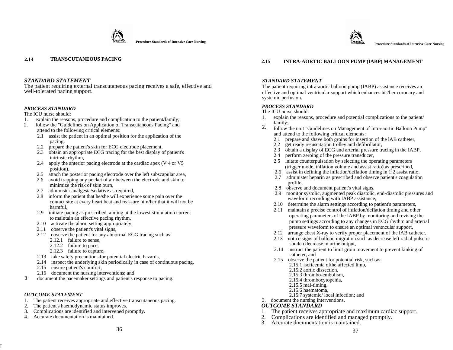



The patient requiring external transcutaneous pacing receives a safe, effective and well-tolerated pacing support.

## *PROCESS STANDARD*

The ICU nurse should:

- 1. explain the reasons, procedure and complication to the patient/family;<br>2. follow the "Guidelines on Application of Transcutaneous Pacing" and
- 2. follow the "Guidelines on Application of Transcutaneous Pacing" and attend to the following critical elements:
	- 2.1 assist the patient in an optimal position for the application of the pacing,
	- 2.2 prepare the patient's skin for ECG electrode placement,
	- 2.3 obtain an appropriate ECG tracing for the best display of patient's intrinsic rhythm,
	- 2.4 apply the anterior pacing electrode at the cardiac apex (V 4 or V5 position),
	- 2.5 attach the posterior pacing electrode over the left subscapular area,
	- 2.6 avoid trapping any pocket of air between the electrode and skin to minimize the risk of skin burn,
	- 2.7 administer analgesia/sedative as required,
	- 2.8 inform the patient that he/she will experience some pain over the contact site at every heart beat and reassure him/her that it will not be harmful,
	- 2.9 initiate pacing as prescribed, aiming at the lowest stimulation current to maintain an effective pacing rhythm,
	- 2.10 activate the alarm setting appropriately,
	- 2.11 observe the patient's vital signs,
	- 2.12 observe the patient for any abnormal ECG tracing such as:
		- 2.12.1 failure to sense,
		- 2.12.2 failure to pace,
		- 2.12.3 failure to capture,
	- 2.13 take safety precautions for potential electric hazards,
	- 2.14 inspect the underlying skin periodically in case of continuous pacing,
	- 2.15 ensure patient's comfort,
	- 2.16 document the nursing interventions; and
- 3 document the pacemaker settings and patient's response to pacing.

#### *OUTCOME STATEMENT*

I

- 1. The patient receives appropriate and effective transcutaneous pacing.
- 2. The patient's haemodynamic status improves.
- 3. Complications are identified and intervened promptly.
- 4. Accurate documentation is maintained.

#### **2.15 INTRA-AORTIC BALLOON PUMP (IABP) MANAGEMENT**

#### *STANDARD STATEMENT*

The patient requiring intra-aortic balloon pump (IABP) assistance receives an effective and optimal ventricular support which enhances his/her coronary and syste mic perfusion.

#### *PROCESS STANDARD*

The ICU nurse should:

- 1. explain the reasons, procedure and potential complications to the patient/ family;
- follow the unit " Guidelines on Management of Intra-aortic Balloon Pump" and attend to the following critical elements: 2.
	- 2.1 prepare and shave both groins for insertion of the lAB catheter,
	- 2.2 get ready resuscitation trolley and defibrillator,
	- 2.3 obtain a display of ECG and arterial pressure tracing in the I ABP,
	- 2.4 perform zeroing of the pressure transducer,
	- 2.5 lnitate counterpulsation by selecting the operating parameters (trigger mode, inflation volume and assist ratio) as prescribed,
	- 2.6 assist in defining the inflation/deflation timing in 1:2 assist ratio,
	- 2.7 administer heparin as prescribed and observe patient's coagulation profile,
	- 2.8 observe and document patient's vital signs,
	- 2.9 monitor systolic, augmented peak diastolic, end-diastolic pressures and waveform recording with IABP assistance,
	- 2.10 determine the alarm settings according to patient's parameters,
	- 2.11 maintain a precise control of inflation/deflation timing and other operating parameters of the IAB P by monitoring and revising the pump settings according to any changes in ECG rhythm and arterial pressure waveform to ensure an optImal ventncular support,
	- 2.12 arrange chest X-ray to verify proper placement of the lAB catheter,
	- 2.13 notice signs of balloon migration such as decrease left radial pulse or sudden decrease in urine output,
	- 2.14 instruct the patient to limit groin movement to prevent kinking of catheter, and
	- 2.15 observe the patient for potential risk, such as:
		- 2.15.1 iscfiaemia ofthe affected limb, 2.15.2 aortic dissection,
		-
		- 2.15.3 thrombo-embolism,
		- 2.15.4 thrombocytopenia,
		- 2.15.5 mal-timing,
		- 2.15.6 haematoma,
		- 2.15.7 systemic/ local infection; and
- 3. document the nursing interventions.

- 1. The patient receives a ppropriate and maxim u m cardiac support.
- 2.2. Complications are identified and managed promptly.<br>3. Accurate documentation is maintained. Complications are identified and managed promptly.
-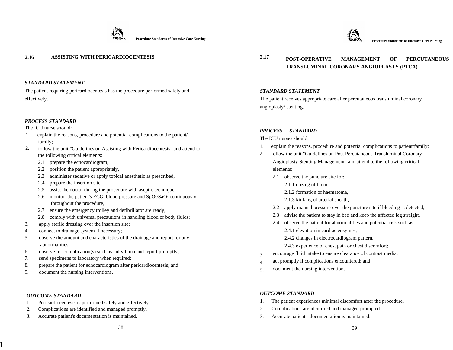



The patient requiring pericardiocentesis has the procedure performed safely and effectively.

## *PROCESS STANDARD*

The ICU nurse should:

- 1. explain the reasons, procedure and potential complications to the patient/ family;
- follow the unit "Guidelines on Assisting with Pericardiocentesis" and attend to the following critical elements: 2.
	- 2.1 prepare the echocardiogram,
	- 2.2 position the patient appropriately,
	- 2.3 administer sedative or apply topical anesthetic as prescribed,
	- 2.4 prepare the insertion site,
	- 2.5 assist the doctor during the procedure with aseptic technique,
	- 2.6 monitor the patient's ECG, blood pressure and  $SpO<sub>2</sub>/SaO<sub>2</sub>$  continuously throughout the procedure,
	- 2.7 ensure the emergency trolley and defibrillator are ready,
	- 2.8 comply with universal precautions in handling blood or body fluids;
- 3. apply sterile dressing over the insertion site;
- 4. connect to drainage system if necessary;
- 5. observe the amount and characteristics of the drainage and report for any abnormalities;
- 6. observe for complication(s) such as anhythmia and report promptly;
- 7. send specimens to laboratory when required;
- 8. prepare the patient for echocardiogram after pericardiocentesis; and
- 9. document the nursing interventions.

#### *OUTCOME STANDARD*

I

- 1. Pericardiocentesis is performed safely and effectively.
- 2. Complications are identified and managed promptly.
- 3. Accurate patient's documentation is maintained.



# *STANDARD STATEMENT*

The patient receives appropriate care after percutaneous transluminal coronary angioplasty/ stenting.

# *PROCESS STANDARD*

The ICU nurses should:

- 1. explain the reasons, procedure and potential complications to patient/family;
- 2. follow the unit "Guidelines on Post Percutaneous Transluminal Coronary Angioplasty Stenting Management" and attend to the following critical elements:
	- 2.1 observe the puncture site for:
		- 2.1.1 oozing of blood,
		- 2.1.2 formation of haematoma,
		- 2.1.3 kinking of arterial sheath,
	- 2.2 apply manual pressure over the puncture site if bleeding is detected,
	- 2.3 advise the patient to stay in bed and keep the affected leg straight,
	- 2.4 observe the patient for abnormalities and potential risk such as: 2.4.1 elevation in cardiac enzymes,

2.4.2 changes in electrocardiogram pattern,

- 2.4.3 experience of chest pain or chest discomfort;
- encourage fluid intake to ensure clearance of contrast media; 3.
- act promptly if complications encountered; and 4.
- document the nursing interventions. 5.

- 1. The patient experiences minimal discomfort after the procedure.
- 2. Complications are identified and managed prompted.
- 3. Accurate patient's documentation is maintained.

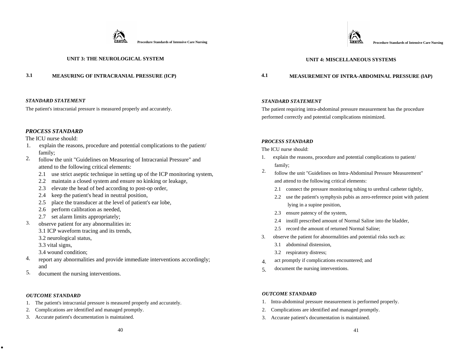

# **UNIT 3: THE NEUROLOGICAL SYSTEM**

#### *STANDARD STATEMENT*

The patient's intracranial pressure is measured properly and accurately.

## *PROCESS STANDARD*

The ICU nurse should:

- 1. explain the reasons, procedure and potential complications to the patient/ family;
- follow the unit "Guidelines on Measuring of Intracranial Pressure" and attend to the following critical elements: 2.
	- 2.1use strict aseptic technique in setting up of the ICP monitoring system,
	- 2.2 maintain a closed system and ensure no kinking or leakage,
	- 2.3 elevate the head of bed according to post-op order,
	- 2.4 keep the patient's head in neutral position,
	- 2.5 place the transducer at the level of patient's ear lobe,
	- 2.6 perform calibration as needed,
	- 2.7 set alarm limits appropriately;
- observe patient for any abnormalities in: 3.
	- 3.1 ICP waveform tracing and its trends,
	- 3.2 neurological status,
	- 3.3 vital signs,
	- 3.4 wound condition;
- report any abnormalities and provide immediate interventions accordingly; and 4.
- 5. document the nursing interventions.

#### *OUTCOME STANDARD*

.

- 1. The patient's intracranial pressure is measured properly and accurately.
- 2. Complications are identified and managed promptly.
- 3. Accurate patient's documentation is maintained.

# **UNIT 4: MISCELLANEOUS SYSTEMS**

# **3.1 MEASURING OF INTRACRANIAL PRESSURE (ICP) 4.1 MEASUREMENT OF INTRA-ABDOMINAL PRESSURE (lAP)**

## *STANDARD STATEMENT*

The patient requiring intra-abdominal pressure measurement has the procedure performed correctly and potential complications minimized.

#### *PROCESS STANDARD*

The ICU nurse should:

- 1. explain the reasons, procedure and potential complications to patient/ family;
- follow the unit "Guidelines on Intra-Abdominal Pressure Measurement" and attend to the following critical elements: 2.
	- 2.1 connect the pressure monitoring tubing to urethral catheter tightly,
	- 2.2 use the patient's symphysis pubis as zero-reference point with patient lying in a supine position,
	- 2.3 ensure patency of the system,
	- 2.4 instill prescribed amount of Normal Saline into the bladder,
	- 2.5 record the amount of returned Normal Saline;
- 3. observe the patient for abnormalities and potential risks such as:
	- 3.1 abdominal distension,
	- 3.2 respiratory distress;
- act promptly if complications encountered; and 4.
- document the nursing interventions. 5.

- 1. Intra-abdominal pressure measurement is performed properly.
- 2. Complications are identified and managed promptly.
- 3. Accurate patient's documentation is maintained.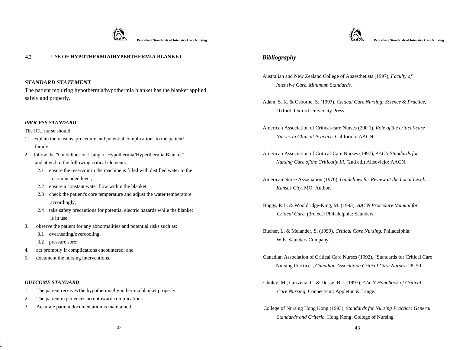



The patient requiring hypothermia/hypothermia blanket has the blanket applied safely and properly. Adam, S. K. & Osborne, S. (1997), *Critical Care Nursing: Science* & *Practice,* 

#### *PROCESS STANDARD*

- *Nurses in Clinical Practice,* California: AACN. 1. explain the reasons, procedure and potential complications to the patient/ family;
- 2. follow the "Guidelines on Using of Hypothermia/Hyperthermia Blanket" and attend to the following critical elements:
	- 2.1 ensure the reservoir in the machine is filled with distilled water to the recommended level,
	- 2.2 ensure a constant water flow within the blanket,
	- 2.3 check the patient's core temperature and adjust the water temperature accordingly,
	- 2.4 take safety precautions for potential electric hazards while the blanket is in use;
- 3. observe the patient for any abnormalities and potential risks such as:
	- 3.1 overheating/overcooling,
	- 3.2 pressure sore;
- 4. act promptly if complications encountered; and
- 5. document the nursing interventions.

#### *OUTCOME STANDARD*

I

- 1.The patient receives the hypothermia/hypothermia blanket properly.
- 2. The patient experiences no untoward complications.
- 3. Accurate patient documentation is maintained.



# *Bibliography*

- Australian and New Zealand College of Anaesthetists (1997), *Faculty of Intensive Care. Minimum Standards. STANDARD STATEMENT* 
	- Oxford: Oxford University Press.
- The ICU nurse should: American Association of Critical-care Nurses (200 1), *Role of'the critical-care* 
	- American Association of Critical-Care Nurses (1997), *AACN Standards for Nursing Care of'the Critically Ill,* (2nd ed.) Alisoviejo: AACN.
	- American Nurse Association (1976), *Guidelines for Review at the Local Level: Kansas City,* MO: Author.
	- Boggs, R.L. & Wooldridge-King, M. (1993), *AACN Procedure Manual for Critical Care,* (3rd ed.) Philadelphia: Saunders.
	- Bucher, L. & Melander, S. (1999), *Critical Care Nursing,* Philadelphia: W.E. Saunders Company.
	- Canadian Association of Critical Care Nurses (1992), "Standards for Critical Care Nursing Practice", *Canadian Association Critical Care Nurses:* 28, 50.
	- Chuley, M., Guzzetta, C. & Dossy, B.c. (1997), *AACN Handbook of Critical Care Nursing,* Connecticut: Appleton & Lange.
	- College of Nursing Hong Kong (1993), *Standards for Nursing Practice: General Standards and Criteria.* Hong Kong: College of Nursing.